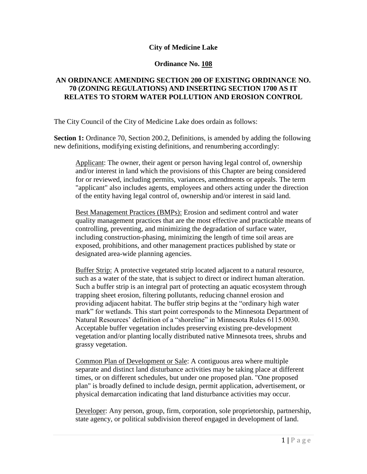#### **City of Medicine Lake**

#### **Ordinance No. 108**

# **AN ORDINANCE AMENDING SECTION 200 OF EXISTING ORDINANCE NO. 70 (ZONING REGULATIONS) AND INSERTING SECTION 1700 AS IT RELATES TO STORM WATER POLLUTION AND EROSION CONTROL**

The City Council of the City of Medicine Lake does ordain as follows:

**Section 1:** Ordinance 70, Section 200.2, Definitions, is amended by adding the following new definitions, modifying existing definitions, and renumbering accordingly:

Applicant: The owner, their agent or person having legal control of, ownership and/or interest in land which the provisions of this Chapter are being considered for or reviewed, including permits, variances, amendments or appeals. The term "applicant" also includes agents, employees and others acting under the direction of the entity having legal control of, ownership and/or interest in said land.

Best Management Practices (BMPs): Erosion and sediment control and water quality management practices that are the most effective and practicable means of controlling, preventing, and minimizing the degradation of surface water, including construction-phasing, minimizing the length of time soil areas are exposed, prohibitions, and other management practices published by state or designated area-wide planning agencies.

Buffer Strip: A protective vegetated strip located adjacent to a natural resource, such as a water of the state, that is subject to direct or indirect human alteration. Such a buffer strip is an integral part of protecting an aquatic ecosystem through trapping sheet erosion, filtering pollutants, reducing channel erosion and providing adjacent habitat. The buffer strip begins at the "ordinary high water mark" for wetlands. This start point corresponds to the Minnesota Department of Natural Resources' definition of a "shoreline" in Minnesota Rules 6115.0030. Acceptable buffer vegetation includes preserving existing pre-development vegetation and/or planting locally distributed native Minnesota trees, shrubs and grassy vegetation.

Common Plan of Development or Sale: A contiguous area where multiple separate and distinct land disturbance activities may be taking place at different times, or on different schedules, but under one proposed plan. "One proposed plan" is broadly defined to include design, permit application, advertisement, or physical demarcation indicating that land disturbance activities may occur.

Developer: Any person, group, firm, corporation, sole proprietorship, partnership, state agency, or political subdivision thereof engaged in development of land.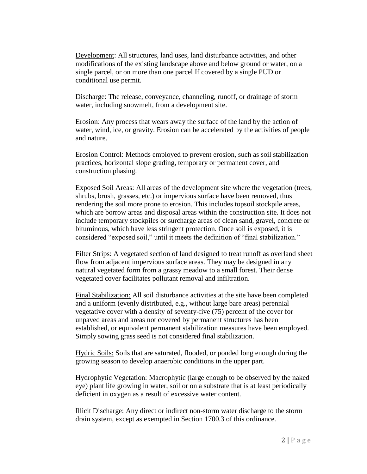Development: All structures, land uses, land disturbance activities, and other modifications of the existing landscape above and below ground or water, on a single parcel, or on more than one parcel If covered by a single PUD or conditional use permit.

Discharge: The release, conveyance, channeling, runoff, or drainage of storm water, including snowmelt, from a development site.

Erosion: Any process that wears away the surface of the land by the action of water, wind, ice, or gravity. Erosion can be accelerated by the activities of people and nature.

Erosion Control: Methods employed to prevent erosion, such as soil stabilization practices, horizontal slope grading, temporary or permanent cover, and construction phasing.

Exposed Soil Areas: All areas of the development site where the vegetation (trees, shrubs, brush, grasses, etc.) or impervious surface have been removed, thus rendering the soil more prone to erosion. This includes topsoil stockpile areas, which are borrow areas and disposal areas within the construction site. It does not include temporary stockpiles or surcharge areas of clean sand, gravel, concrete or bituminous, which have less stringent protection. Once soil is exposed, it is considered "exposed soil," until it meets the definition of "final stabilization."

Filter Strips: A vegetated section of land designed to treat runoff as overland sheet flow from adjacent impervious surface areas. They may be designed in any natural vegetated form from a grassy meadow to a small forest. Their dense vegetated cover facilitates pollutant removal and infiltration.

Final Stabilization: All soil disturbance activities at the site have been completed and a uniform (evenly distributed, e.g., without large bare areas) perennial vegetative cover with a density of seventy-five (75) percent of the cover for unpaved areas and areas not covered by permanent structures has been established, or equivalent permanent stabilization measures have been employed. Simply sowing grass seed is not considered final stabilization.

Hydric Soils: Soils that are saturated, flooded, or ponded long enough during the growing season to develop anaerobic conditions in the upper part.

Hydrophytic Vegetation: Macrophytic (large enough to be observed by the naked eye) plant life growing in water, soil or on a substrate that is at least periodically deficient in oxygen as a result of excessive water content.

Illicit Discharge: Any direct or indirect non-storm water discharge to the storm drain system, except as exempted in Section 1700.3 of this ordinance.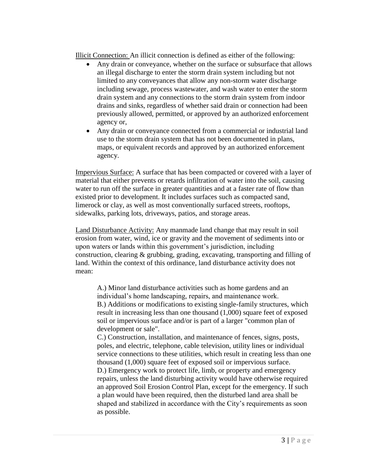Illicit Connection: An illicit connection is defined as either of the following:

- Any drain or conveyance, whether on the surface or subsurface that allows an illegal discharge to enter the storm drain system including but not limited to any conveyances that allow any non-storm water discharge including sewage, process wastewater, and wash water to enter the storm drain system and any connections to the storm drain system from indoor drains and sinks, regardless of whether said drain or connection had been previously allowed, permitted, or approved by an authorized enforcement agency or,
- Any drain or conveyance connected from a commercial or industrial land use to the storm drain system that has not been documented in plans, maps, or equivalent records and approved by an authorized enforcement agency.

Impervious Surface: A surface that has been compacted or covered with a layer of material that either prevents or retards infiltration of water into the soil, causing water to run off the surface in greater quantities and at a faster rate of flow than existed prior to development. It includes surfaces such as compacted sand, limerock or clay, as well as most conventionally surfaced streets, rooftops, sidewalks, parking lots, driveways, patios, and storage areas.

Land Disturbance Activity: Any manmade land change that may result in soil erosion from water, wind, ice or gravity and the movement of sediments into or upon waters or lands within this government's jurisdiction, including construction, clearing  $\&$  grubbing, grading, excavating, transporting and filling of land. Within the context of this ordinance, land disturbance activity does not mean:

A.) Minor land disturbance activities such as home gardens and an individual's home landscaping, repairs, and maintenance work. B.) Additions or modifications to existing single-family structures, which result in increasing less than one thousand (1,000) square feet of exposed soil or impervious surface and/or is part of a larger "common plan of development or sale".

C.) Construction, installation, and maintenance of fences, signs, posts, poles, and electric, telephone, cable television, utility lines or individual service connections to these utilities, which result in creating less than one thousand (1,000) square feet of exposed soil or impervious surface. D.) Emergency work to protect life, limb, or property and emergency repairs, unless the land disturbing activity would have otherwise required an approved Soil Erosion Control Plan, except for the emergency. If such a plan would have been required, then the disturbed land area shall be shaped and stabilized in accordance with the City's requirements as soon as possible.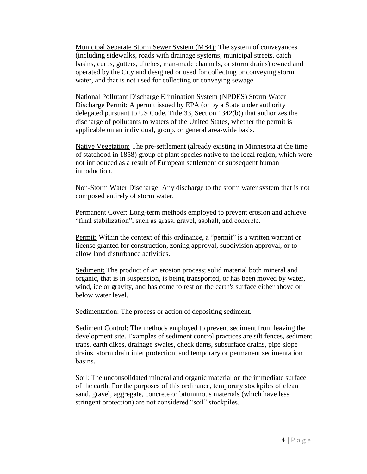Municipal Separate Storm Sewer System (MS4): The system of conveyances (including sidewalks, roads with drainage systems, municipal streets, catch basins, curbs, gutters, ditches, man-made channels, or storm drains) owned and operated by the City and designed or used for collecting or conveying storm water, and that is not used for collecting or conveying sewage.

National Pollutant Discharge Elimination System (NPDES) Storm Water Discharge Permit: A permit issued by EPA (or by a State under authority delegated pursuant to US Code, Title 33, Section 1342(b)) that authorizes the discharge of pollutants to waters of the United States, whether the permit is applicable on an individual, group, or general area-wide basis.

Native Vegetation: The pre-settlement (already existing in Minnesota at the time of statehood in 1858) group of plant species native to the local region, which were not introduced as a result of European settlement or subsequent human introduction.

Non-Storm Water Discharge: Any discharge to the storm water system that is not composed entirely of storm water.

Permanent Cover: Long-term methods employed to prevent erosion and achieve "final stabilization", such as grass, gravel, asphalt, and concrete.

Permit: Within the context of this ordinance, a "permit" is a written warrant or license granted for construction, zoning approval, subdivision approval, or to allow land disturbance activities.

Sediment: The product of an erosion process; solid material both mineral and organic, that is in suspension, is being transported, or has been moved by water, wind, ice or gravity, and has come to rest on the earth's surface either above or below water level.

Sedimentation: The process or action of depositing sediment.

Sediment Control: The methods employed to prevent sediment from leaving the development site. Examples of sediment control practices are silt fences, sediment traps, earth dikes, drainage swales, check dams, subsurface drains, pipe slope drains, storm drain inlet protection, and temporary or permanent sedimentation basins.

Soil: The unconsolidated mineral and organic material on the immediate surface of the earth. For the purposes of this ordinance, temporary stockpiles of clean sand, gravel, aggregate, concrete or bituminous materials (which have less stringent protection) are not considered "soil" stockpiles.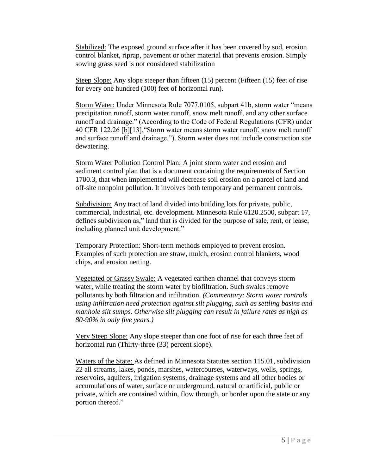Stabilized: The exposed ground surface after it has been covered by sod, erosion control blanket, riprap, pavement or other material that prevents erosion. Simply sowing grass seed is not considered stabilization

Steep Slope: Any slope steeper than fifteen (15) percent (Fifteen (15) feet of rise for every one hundred (100) feet of horizontal run).

Storm Water: Under Minnesota Rule 7077.0105, subpart 41b, storm water "means precipitation runoff, storm water runoff, snow melt runoff, and any other surface runoff and drainage." (According to the Code of Federal Regulations (CFR) under 40 CFR 122.26 [b][13],"Storm water means storm water runoff, snow melt runoff and surface runoff and drainage."). Storm water does not include construction site dewatering.

Storm Water Pollution Control Plan: A joint storm water and erosion and sediment control plan that is a document containing the requirements of Section 1700.3, that when implemented will decrease soil erosion on a parcel of land and off-site nonpoint pollution. It involves both temporary and permanent controls.

Subdivision: Any tract of land divided into building lots for private, public, commercial, industrial, etc. development. Minnesota Rule 6120.2500, subpart 17, defines subdivision as," land that is divided for the purpose of sale, rent, or lease, including planned unit development."

Temporary Protection: Short-term methods employed to prevent erosion. Examples of such protection are straw, mulch, erosion control blankets, wood chips, and erosion netting.

Vegetated or Grassy Swale: A vegetated earthen channel that conveys storm water, while treating the storm water by biofiltration. Such swales remove pollutants by both filtration and infiltration. *(Commentary: Storm water controls using infiltration need protection against silt plugging, such as settling basins and manhole silt sumps. Otherwise silt plugging can result in failure rates as high as 80-90% in only five years.)*

Very Steep Slope: Any slope steeper than one foot of rise for each three feet of horizontal run (Thirty-three (33) percent slope).

Waters of the State: As defined in Minnesota Statutes section 115.01, subdivision 22 all streams, lakes, ponds, marshes, watercourses, waterways, wells, springs, reservoirs, aquifers, irrigation systems, drainage systems and all other bodies or accumulations of water, surface or underground, natural or artificial, public or private, which are contained within, flow through, or border upon the state or any portion thereof."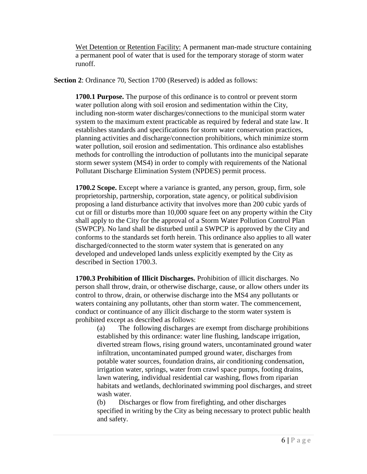Wet Detention or Retention Facility: A permanent man-made structure containing a permanent pool of water that is used for the temporary storage of storm water runoff.

**Section 2**: Ordinance 70, Section 1700 (Reserved) is added as follows:

**1700.1 Purpose.** The purpose of this ordinance is to control or prevent storm water pollution along with soil erosion and sedimentation within the City, including non-storm water discharges/connections to the municipal storm water system to the maximum extent practicable as required by federal and state law. It establishes standards and specifications for storm water conservation practices, planning activities and discharge/connection prohibitions, which minimize storm water pollution, soil erosion and sedimentation. This ordinance also establishes methods for controlling the introduction of pollutants into the municipal separate storm sewer system (MS4) in order to comply with requirements of the National Pollutant Discharge Elimination System (NPDES) permit process.

**1700.2 Scope.** Except where a variance is granted, any person, group, firm, sole proprietorship, partnership, corporation, state agency, or political subdivision proposing a land disturbance activity that involves more than 200 cubic yards of cut or fill or disturbs more than 10,000 square feet on any property within the City shall apply to the City for the approval of a Storm Water Pollution Control Plan (SWPCP). No land shall be disturbed until a SWPCP is approved by the City and conforms to the standards set forth herein. This ordinance also applies to all water discharged/connected to the storm water system that is generated on any developed and undeveloped lands unless explicitly exempted by the City as described in Section 1700.3.

**1700.3 Prohibition of Illicit Discharges.** Prohibition of illicit discharges. No person shall throw, drain, or otherwise discharge, cause, or allow others under its control to throw, drain, or otherwise discharge into the MS4 any pollutants or waters containing any pollutants, other than storm water. The commencement, conduct or continuance of any illicit discharge to the storm water system is prohibited except as described as follows:

(a) The following discharges are exempt from discharge prohibitions established by this ordinance: water line flushing, landscape irrigation, diverted stream flows, rising ground waters, uncontaminated ground water infiltration, uncontaminated pumped ground water, discharges from potable water sources, foundation drains, air conditioning condensation, irrigation water, springs, water from crawl space pumps, footing drains, lawn watering, individual residential car washing, flows from riparian habitats and wetlands, dechlorinated swimming pool discharges, and street wash water.

(b) Discharges or flow from firefighting, and other discharges specified in writing by the City as being necessary to protect public health and safety.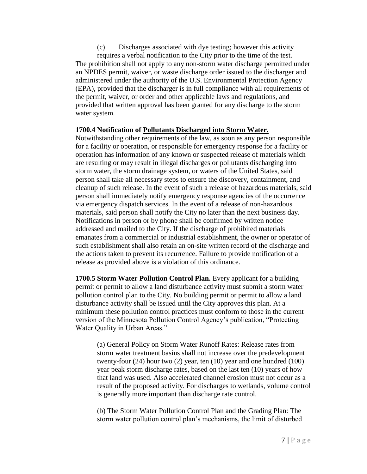(c) Discharges associated with dye testing; however this activity requires a verbal notification to the City prior to the time of the test. The prohibition shall not apply to any non-storm water discharge permitted under an NPDES permit, waiver, or waste discharge order issued to the discharger and administered under the authority of the U.S. Environmental Protection Agency (EPA), provided that the discharger is in full compliance with all requirements of the permit, waiver, or order and other applicable laws and regulations, and provided that written approval has been granted for any discharge to the storm water system.

## **1700.4 Notification of Pollutants Discharged into Storm Water.**

Notwithstanding other requirements of the law, as soon as any person responsible for a facility or operation, or responsible for emergency response for a facility or operation has information of any known or suspected release of materials which are resulting or may result in illegal discharges or pollutants discharging into storm water, the storm drainage system, or waters of the United States, said person shall take all necessary steps to ensure the discovery, containment, and cleanup of such release. In the event of such a release of hazardous materials, said person shall immediately notify emergency response agencies of the occurrence via emergency dispatch services. In the event of a release of non-hazardous materials, said person shall notify the City no later than the next business day. Notifications in person or by phone shall be confirmed by written notice addressed and mailed to the City. If the discharge of prohibited materials emanates from a commercial or industrial establishment, the owner or operator of such establishment shall also retain an on-site written record of the discharge and the actions taken to prevent its recurrence. Failure to provide notification of a release as provided above is a violation of this ordinance.

**1700.5 Storm Water Pollution Control Plan.** Every applicant for a building permit or permit to allow a land disturbance activity must submit a storm water pollution control plan to the City. No building permit or permit to allow a land disturbance activity shall be issued until the City approves this plan. At a minimum these pollution control practices must conform to those in the current version of the Minnesota Pollution Control Agency's publication, "Protecting Water Quality in Urban Areas."

(a) General Policy on Storm Water Runoff Rates: Release rates from storm water treatment basins shall not increase over the predevelopment twenty-four (24) hour two (2) year, ten (10) year and one hundred (100) year peak storm discharge rates, based on the last ten (10) years of how that land was used. Also accelerated channel erosion must not occur as a result of the proposed activity. For discharges to wetlands, volume control is generally more important than discharge rate control.

(b) The Storm Water Pollution Control Plan and the Grading Plan: The storm water pollution control plan's mechanisms, the limit of disturbed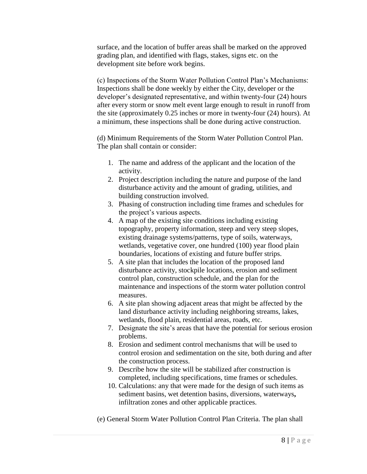surface, and the location of buffer areas shall be marked on the approved grading plan, and identified with flags, stakes, signs etc. on the development site before work begins.

(c) Inspections of the Storm Water Pollution Control Plan's Mechanisms: Inspections shall be done weekly by either the City, developer or the developer's designated representative, and within twenty-four (24) hours after every storm or snow melt event large enough to result in runoff from the site (approximately 0.25 inches or more in twenty-four (24) hours). At a minimum, these inspections shall be done during active construction.

(d) Minimum Requirements of the Storm Water Pollution Control Plan. The plan shall contain or consider:

- 1. The name and address of the applicant and the location of the activity.
- 2. Project description including the nature and purpose of the land disturbance activity and the amount of grading, utilities, and building construction involved.
- 3. Phasing of construction including time frames and schedules for the project's various aspects.
- 4. A map of the existing site conditions including existing topography, property information, steep and very steep slopes, existing drainage systems/patterns, type of soils, waterways, wetlands, vegetative cover, one hundred (100) year flood plain boundaries, locations of existing and future buffer strips.
- 5. A site plan that includes the location of the proposed land disturbance activity, stockpile locations, erosion and sediment control plan, construction schedule, and the plan for the maintenance and inspections of the storm water pollution control measures.
- 6. A site plan showing adjacent areas that might be affected by the land disturbance activity including neighboring streams, lakes, wetlands, flood plain, residential areas, roads, etc.
- 7. Designate the site's areas that have the potential for serious erosion problems.
- 8. Erosion and sediment control mechanisms that will be used to control erosion and sedimentation on the site, both during and after the construction process.
- 9. Describe how the site will be stabilized after construction is completed, including specifications, time frames or schedules.
- 10. Calculations: any that were made for the design of such items as sediment basins, wet detention basins, diversions, waterways**,**  infiltration zones and other applicable practices.
- (e) General Storm Water Pollution Control Plan Criteria. The plan shall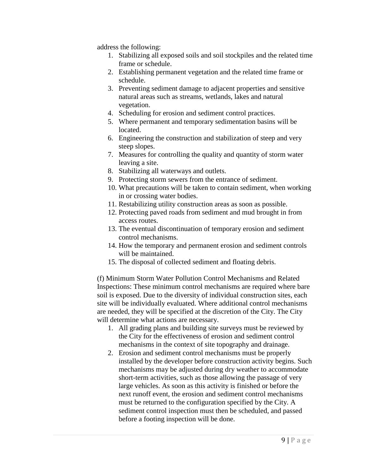address the following:

- 1. Stabilizing all exposed soils and soil stockpiles and the related time frame or schedule.
- 2. Establishing permanent vegetation and the related time frame or schedule.
- 3. Preventing sediment damage to adjacent properties and sensitive natural areas such as streams, wetlands, lakes and natural vegetation.
- 4. Scheduling for erosion and sediment control practices.
- 5. Where permanent and temporary sedimentation basins will be located.
- 6. Engineering the construction and stabilization of steep and very steep slopes.
- 7. Measures for controlling the quality and quantity of storm water leaving a site.
- 8. Stabilizing all waterways and outlets.
- 9. Protecting storm sewers from the entrance of sediment.
- 10. What precautions will be taken to contain sediment, when working in or crossing water bodies.
- 11. Restabilizing utility construction areas as soon as possible.
- 12. Protecting paved roads from sediment and mud brought in from access routes.
- 13. The eventual discontinuation of temporary erosion and sediment control mechanisms.
- 14. How the temporary and permanent erosion and sediment controls will be maintained.
- 15. The disposal of collected sediment and floating debris.

(f) Minimum Storm Water Pollution Control Mechanisms and Related Inspections: These minimum control mechanisms are required where bare soil is exposed. Due to the diversity of individual construction sites, each site will be individually evaluated. Where additional control mechanisms are needed, they will be specified at the discretion of the City. The City will determine what actions are necessary.

- 1. All grading plans and building site surveys must be reviewed by the City for the effectiveness of erosion and sediment control mechanisms in the context of site topography and drainage.
- 2. Erosion and sediment control mechanisms must be properly installed by the developer before construction activity begins. Such mechanisms may be adjusted during dry weather to accommodate short-term activities, such as those allowing the passage of very large vehicles. As soon as this activity is finished or before the next runoff event, the erosion and sediment control mechanisms must be returned to the configuration specified by the City. A sediment control inspection must then be scheduled, and passed before a footing inspection will be done.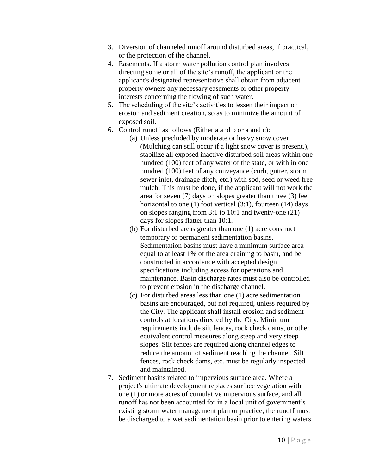- 3. Diversion of channeled runoff around disturbed areas, if practical, or the protection of the channel.
- 4. Easements. If a storm water pollution control plan involves directing some or all of the site's runoff, the applicant or the applicant's designated representative shall obtain from adjacent property owners any necessary easements or other property interests concerning the flowing of such water.
- 5. The scheduling of the site's activities to lessen their impact on erosion and sediment creation, so as to minimize the amount of exposed soil.
- 6. Control runoff as follows (Either a and b or a and c):
	- (a) Unless precluded by moderate or heavy snow cover (Mulching can still occur if a light snow cover is present.), stabilize all exposed inactive disturbed soil areas within one hundred (100) feet of any water of the state, or with in one hundred (100) feet of any conveyance (curb, gutter, storm sewer inlet, drainage ditch, etc.) with sod, seed or weed free mulch. This must be done, if the applicant will not work the area for seven (7) days on slopes greater than three (3) feet horizontal to one (1) foot vertical (3:1), fourteen (14) days on slopes ranging from 3:1 to 10:1 and twenty-one (21) days for slopes flatter than 10:1.
	- (b) For disturbed areas greater than one (1) acre construct temporary or permanent sedimentation basins. Sedimentation basins must have a minimum surface area equal to at least 1% of the area draining to basin, and be constructed in accordance with accepted design specifications including access for operations and maintenance. Basin discharge rates must also be controlled to prevent erosion in the discharge channel.
	- (c) For disturbed areas less than one (1) acre sedimentation basins are encouraged, but not required, unless required by the City. The applicant shall install erosion and sediment controls at locations directed by the City. Minimum requirements include silt fences, rock check dams, or other equivalent control measures along steep and very steep slopes. Silt fences are required along channel edges to reduce the amount of sediment reaching the channel. Silt fences, rock check dams, etc. must be regularly inspected and maintained.
- 7. Sediment basins related to impervious surface area. Where a project's ultimate development replaces surface vegetation with one (1) or more acres of cumulative impervious surface, and all runoff has not been accounted for in a local unit of government's existing storm water management plan or practice, the runoff must be discharged to a wet sedimentation basin prior to entering waters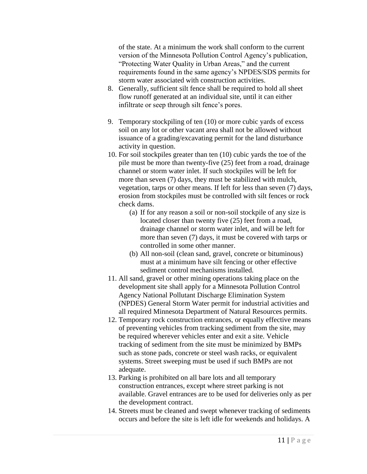of the state. At a minimum the work shall conform to the current version of the Minnesota Pollution Control Agency's publication, "Protecting Water Quality in Urban Areas," and the current requirements found in the same agency's NPDES/SDS permits for storm water associated with construction activities.

- 8. Generally, sufficient silt fence shall be required to hold all sheet flow runoff generated at an individual site, until it can either infiltrate or seep through silt fence's pores.
- 9. Temporary stockpiling of ten (10) or more cubic yards of excess soil on any lot or other vacant area shall not be allowed without issuance of a grading/excavating permit for the land disturbance activity in question.
- 10. For soil stockpiles greater than ten (10) cubic yards the toe of the pile must be more than twenty-five (25) feet from a road, drainage channel or storm water inlet. If such stockpiles will be left for more than seven (7) days, they must be stabilized with mulch, vegetation, tarps or other means. If left for less than seven (7) days, erosion from stockpiles must be controlled with silt fences or rock check dams.
	- (a) If for any reason a soil or non-soil stockpile of any size is located closer than twenty five (25) feet from a road, drainage channel or storm water inlet, and will be left for more than seven (7) days, it must be covered with tarps or controlled in some other manner.
	- (b) All non-soil (clean sand, gravel, concrete or bituminous) must at a minimum have silt fencing or other effective sediment control mechanisms installed.
- 11. All sand, gravel or other mining operations taking place on the development site shall apply for a Minnesota Pollution Control Agency National Pollutant Discharge Elimination System (NPDES) General Storm Water permit for industrial activities and all required Minnesota Department of Natural Resources permits.
- 12. Temporary rock construction entrances, or equally effective means of preventing vehicles from tracking sediment from the site, may be required wherever vehicles enter and exit a site. Vehicle tracking of sediment from the site must be minimized by BMPs such as stone pads, concrete or steel wash racks, or equivalent systems. Street sweeping must be used if such BMPs are not adequate.
- 13. Parking is prohibited on all bare lots and all temporary construction entrances, except where street parking is not available. Gravel entrances are to be used for deliveries only as per the development contract.
- 14. Streets must be cleaned and swept whenever tracking of sediments occurs and before the site is left idle for weekends and holidays. A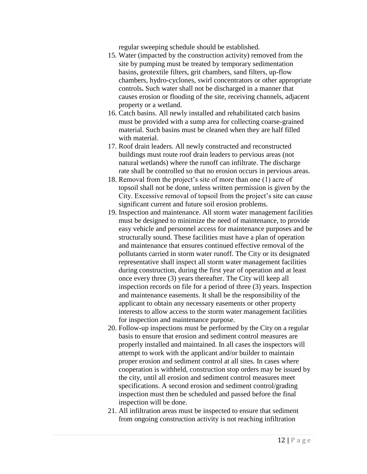regular sweeping schedule should be established.

- 15. Water (impacted by the construction activity) removed from the site by pumping must be treated by temporary sedimentation basins, geotextile filters, grit chambers, sand filters, up-flow chambers, hydro-cyclones, swirl concentrators or other appropriate controls**.** Such water shall not be discharged in a manner that causes erosion or flooding of the site, receiving channels, adjacent property or a wetland.
- 16. Catch basins. All newly installed and rehabilitated catch basins must be provided with a sump area for collecting coarse-grained material. Such basins must be cleaned when they are half filled with material.
- 17. Roof drain leaders. All newly constructed and reconstructed buildings must route roof drain leaders to pervious areas (not natural wetlands) where the runoff can infiltrate. The discharge rate shall be controlled so that no erosion occurs in pervious areas.
- 18. Removal from the project's site of more than one (1) acre of topsoil shall not be done, unless written permission is given by the City. Excessive removal of topsoil from the project's site can cause significant current and future soil erosion problems.
- 19. Inspection and maintenance. All storm water management facilities must be designed to minimize the need of maintenance, to provide easy vehicle and personnel access for maintenance purposes and be structurally sound. These facilities must have a plan of operation and maintenance that ensures continued effective removal of the pollutants carried in storm water runoff. The City or its designated representative shall inspect all storm water management facilities during construction, during the first year of operation and at least once every three (3) years thereafter. The City will keep all inspection records on file for a period of three (3) years. Inspection and maintenance easements. It shall be the responsibility of the applicant to obtain any necessary easements or other property interests to allow access to the storm water management facilities for inspection and maintenance purpose.
- 20. Follow-up inspections must be performed by the City on a regular basis to ensure that erosion and sediment control measures are properly installed and maintained. In all cases the inspectors will attempt to work with the applicant and/or builder to maintain proper erosion and sediment control at all sites. In cases where cooperation is withheld, construction stop orders may be issued by the city, until all erosion and sediment control measures meet specifications. A second erosion and sediment control/grading inspection must then be scheduled and passed before the final inspection will be done.
- 21. All infiltration areas must be inspected to ensure that sediment from ongoing construction activity is not reaching infiltration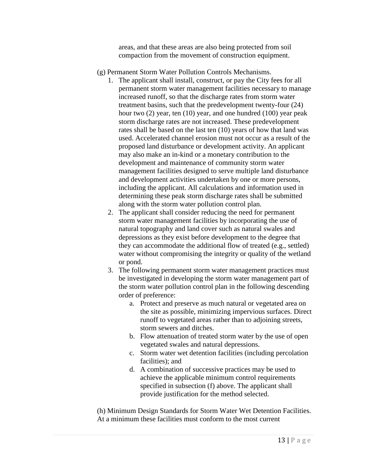areas, and that these areas are also being protected from soil compaction from the movement of construction equipment.

- (g) Permanent Storm Water Pollution Controls Mechanisms.
	- 1. The applicant shall install, construct, or pay the City fees for all permanent storm water management facilities necessary to manage increased runoff, so that the discharge rates from storm water treatment basins, such that the predevelopment twenty-four (24) hour two (2) year, ten (10) year, and one hundred (100) year peak storm discharge rates are not increased. These predevelopment rates shall be based on the last ten (10) years of how that land was used. Accelerated channel erosion must not occur as a result of the proposed land disturbance or development activity. An applicant may also make an in-kind or a monetary contribution to the development and maintenance of community storm water management facilities designed to serve multiple land disturbance and development activities undertaken by one or more persons, including the applicant. All calculations and information used in determining these peak storm discharge rates shall be submitted along with the storm water pollution control plan.
	- 2. The applicant shall consider reducing the need for permanent storm water management facilities by incorporating the use of natural topography and land cover such as natural swales and depressions as they exist before development to the degree that they can accommodate the additional flow of treated (e.g., settled) water without compromising the integrity or quality of the wetland or pond.
	- 3. The following permanent storm water management practices must be investigated in developing the storm water management part of the storm water pollution control plan in the following descending order of preference:
		- a. Protect and preserve as much natural or vegetated area on the site as possible, minimizing impervious surfaces. Direct runoff to vegetated areas rather than to adjoining streets, storm sewers and ditches.
		- b. Flow attenuation of treated storm water by the use of open vegetated swales and natural depressions.
		- c. Storm water wet detention facilities (including percolation facilities); and
		- d. A combination of successive practices may be used to achieve the applicable minimum control requirements specified in subsection (f) above. The applicant shall provide justification for the method selected.

(h) Minimum Design Standards for Storm Water Wet Detention Facilities. At a minimum these facilities must conform to the most current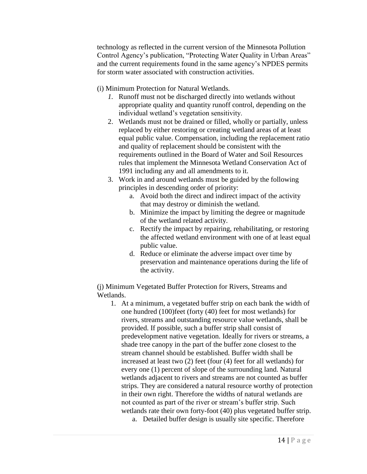technology as reflected in the current version of the Minnesota Pollution Control Agency's publication, "Protecting Water Quality in Urban Areas" and the current requirements found in the same agency's NPDES permits for storm water associated with construction activities.

(i) Minimum Protection for Natural Wetlands.

- *1.* Runoff must not be discharged directly into wetlands without appropriate quality and quantity runoff control, depending on the individual wetland's vegetation sensitivity.
- 2. Wetlands must not be drained or filled, wholly or partially, unless replaced by either restoring or creating wetland areas of at least equal public value. Compensation, including the replacement ratio and quality of replacement should be consistent with the requirements outlined in the Board of Water and Soil Resources rules that implement the Minnesota Wetland Conservation Act of 1991 including any and all amendments to it.
- 3. Work in and around wetlands must be guided by the following principles in descending order of priority:
	- a. Avoid both the direct and indirect impact of the activity that may destroy or diminish the wetland.
	- b. Minimize the impact by limiting the degree or magnitude of the wetland related activity.
	- c. Rectify the impact by repairing, rehabilitating, or restoring the affected wetland environment with one of at least equal public value.
	- d. Reduce or eliminate the adverse impact over time by preservation and maintenance operations during the life of the activity.

(j) Minimum Vegetated Buffer Protection for Rivers, Streams and Wetlands.

- 1. At a minimum, a vegetated buffer strip on each bank the width of one hundred (100)feet (forty (40) feet for most wetlands) for rivers, streams and outstanding resource value wetlands, shall be provided. If possible, such a buffer strip shall consist of predevelopment native vegetation. Ideally for rivers or streams, a shade tree canopy in the part of the buffer zone closest to the stream channel should be established. Buffer width shall be increased at least two (2) feet (four (4) feet for all wetlands) for every one (1) percent of slope of the surrounding land. Natural wetlands adjacent to rivers and streams are not counted as buffer strips. They are considered a natural resource worthy of protection in their own right. Therefore the widths of natural wetlands are not counted as part of the river or stream's buffer strip. Such wetlands rate their own forty-foot (40) plus vegetated buffer strip.
	- a. Detailed buffer design is usually site specific. Therefore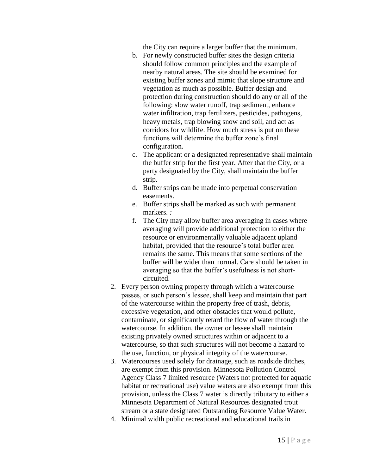the City can require a larger buffer that the minimum.

- b. For newly constructed buffer sites the design criteria should follow common principles and the example of nearby natural areas. The site should be examined for existing buffer zones and mimic that slope structure and vegetation as much as possible. Buffer design and protection during construction should do any or all of the following: slow water runoff, trap sediment, enhance water infiltration, trap fertilizers, pesticides, pathogens, heavy metals, trap blowing snow and soil, and act as corridors for wildlife. How much stress is put on these functions will determine the buffer zone's final configuration.
- c. The applicant or a designated representative shall maintain the buffer strip for the first year. After that the City, or a party designated by the City, shall maintain the buffer strip.
- d. Buffer strips can be made into perpetual conservation easements.
- e. Buffer strips shall be marked as such with permanent markers. *:*
- f. The City may allow buffer area averaging in cases where averaging will provide additional protection to either the resource or environmentally valuable adjacent upland habitat, provided that the resource's total buffer area remains the same. This means that some sections of the buffer will be wider than normal. Care should be taken in averaging so that the buffer's usefulness is not shortcircuited.
- 2. Every person owning property through which a watercourse passes, or such person's lessee, shall keep and maintain that part of the watercourse within the property free of trash, debris, excessive vegetation, and other obstacles that would pollute, contaminate, or significantly retard the flow of water through the watercourse. In addition, the owner or lessee shall maintain existing privately owned structures within or adjacent to a watercourse, so that such structures will not become a hazard to the use, function, or physical integrity of the watercourse.
- 3. Watercourses used solely for drainage, such as roadside ditches, are exempt from this provision. Minnesota Pollution Control Agency Class 7 limited resource (Waters not protected for aquatic habitat or recreational use) value waters are also exempt from this provision, unless the Class 7 water is directly tributary to either a Minnesota Department of Natural Resources designated trout stream or a state designated Outstanding Resource Value Water.
- 4. Minimal width public recreational and educational trails in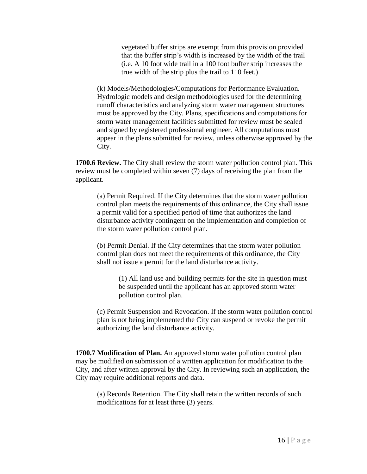vegetated buffer strips are exempt from this provision provided that the buffer strip's width is increased by the width of the trail (i.e. A 10 foot wide trail in a 100 foot buffer strip increases the true width of the strip plus the trail to 110 feet.)

(k) Models/Methodologies/Computations for Performance Evaluation. Hydrologic models and design methodologies used for the determining runoff characteristics and analyzing storm water management structures must be approved by the City. Plans, specifications and computations for storm water management facilities submitted for review must be sealed and signed by registered professional engineer. All computations must appear in the plans submitted for review, unless otherwise approved by the City.

**1700.6 Review.** The City shall review the storm water pollution control plan. This review must be completed within seven (7) days of receiving the plan from the applicant.

(a) Permit Required. If the City determines that the storm water pollution control plan meets the requirements of this ordinance, the City shall issue a permit valid for a specified period of time that authorizes the land disturbance activity contingent on the implementation and completion of the storm water pollution control plan.

(b) Permit Denial. If the City determines that the storm water pollution control plan does not meet the requirements of this ordinance, the City shall not issue a permit for the land disturbance activity.

> (1) All land use and building permits for the site in question must be suspended until the applicant has an approved storm water pollution control plan.

(c) Permit Suspension and Revocation. If the storm water pollution control plan is not being implemented the City can suspend or revoke the permit authorizing the land disturbance activity.

**1700.7 Modification of Plan.** An approved storm water pollution control plan may be modified on submission of a written application for modification to the City, and after written approval by the City. In reviewing such an application, the City may require additional reports and data.

(a) Records Retention. The City shall retain the written records of such modifications for at least three (3) years.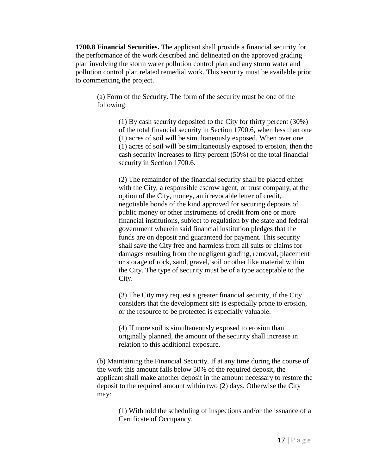**1700.8 Financial Securities.** The applicant shall provide a financial security for the performance of the work described and delineated on the approved grading plan involving the storm water pollution control plan and any storm water and pollution control plan related remedial work. This security must be available prior to commencing the project.

(a) Form of the Security. The form of the security must be one of the following:

> (1) By cash security deposited to the City for thirty percent (30%) of the total financial security in Section 1700.6, when less than one (1) acres of soil will be simultaneously exposed. When over one (1) acres of soil will be simultaneously exposed to erosion, then the cash security increases to fifty percent (50%) of the total financial security in Section 1700.6.

(2) The remainder of the financial security shall be placed either with the City, a responsible escrow agent, or trust company, at the option of the City, money, an irrevocable letter of credit, negotiable bonds of the kind approved for securing deposits of public money or other instruments of credit from one or more financial institutions, subject to regulation by the state and federal government wherein said financial institution pledges that the funds are on deposit and guaranteed for payment. This security shall save the City free and harmless from all suits or claims for damages resulting from the negligent grading, removal, placement or storage of rock, sand, gravel, soil or other like material within the City. The type of security must be of a type acceptable to the City.

(3) The City may request a greater financial security, if the City considers that the development site is especially prone to erosion, or the resource to be protected is especially valuable.

(4) If more soil is simultaneously exposed to erosion than originally planned, the amount of the security shall increase in relation to this additional exposure.

(b) Maintaining the Financial Security. If at any time during the course of the work this amount falls below 50% of the required deposit, the applicant shall make another deposit in the amount necessary to restore the deposit to the required amount within two (2) days. Otherwise the City may:

(1) Withhold the scheduling of inspections and/or the issuance of a Certificate of Occupancy.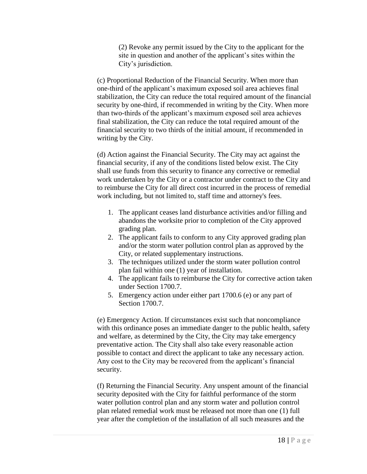(2) Revoke any permit issued by the City to the applicant for the site in question and another of the applicant's sites within the City's jurisdiction.

(c) Proportional Reduction of the Financial Security. When more than one-third of the applicant's maximum exposed soil area achieves final stabilization, the City can reduce the total required amount of the financial security by one-third, if recommended in writing by the City. When more than two-thirds of the applicant's maximum exposed soil area achieves final stabilization, the City can reduce the total required amount of the financial security to two thirds of the initial amount, if recommended in writing by the City.

(d) Action against the Financial Security. The City may act against the financial security, if any of the conditions listed below exist. The City shall use funds from this security to finance any corrective or remedial work undertaken by the City or a contractor under contract to the City and to reimburse the City for all direct cost incurred in the process of remedial work including, but not limited to, staff time and attorney's fees.

- 1. The applicant ceases land disturbance activities and/or filling and abandons the worksite prior to completion of the City approved grading plan.
- 2. The applicant fails to conform to any City approved grading plan and/or the storm water pollution control plan as approved by the City, or related supplementary instructions.
- 3. The techniques utilized under the storm water pollution control plan fail within one (1) year of installation.
- 4. The applicant fails to reimburse the City for corrective action taken under Section 1700.7.
- 5. Emergency action under either part 1700.6 (e) or any part of Section 1700.7.

(e) Emergency Action. If circumstances exist such that noncompliance with this ordinance poses an immediate danger to the public health, safety and welfare, as determined by the City, the City may take emergency preventative action. The City shall also take every reasonable action possible to contact and direct the applicant to take any necessary action. Any cost to the City may be recovered from the applicant's financial security.

(f) Returning the Financial Security. Any unspent amount of the financial security deposited with the City for faithful performance of the storm water pollution control plan and any storm water and pollution control plan related remedial work must be released not more than one (1) full year after the completion of the installation of all such measures and the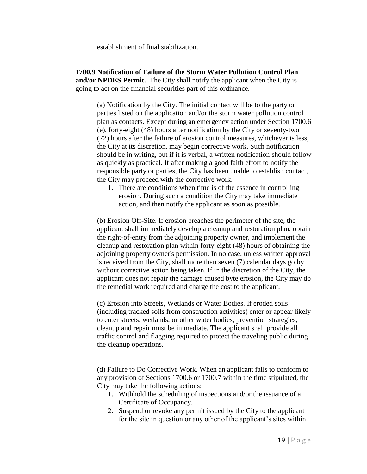establishment of final stabilization.

**1700.9 Notification of Failure of the Storm Water Pollution Control Plan and/or NPDES Permit.** The City shall notify the applicant when the City is going to act on the financial securities part of this ordinance.

(a) Notification by the City. The initial contact will be to the party or parties listed on the application and/or the storm water pollution control plan as contacts. Except during an emergency action under Section 1700.6 (e), forty-eight (48) hours after notification by the City or seventy-two (72) hours after the failure of erosion control measures, whichever is less, the City at its discretion, may begin corrective work. Such notification should be in writing, but if it is verbal, a written notification should follow as quickly as practical. If after making a good faith effort to notify the responsible party or parties, the City has been unable to establish contact, the City may proceed with the corrective work.

1. There are conditions when time is of the essence in controlling erosion. During such a condition the City may take immediate action, and then notify the applicant as soon as possible.

(b) Erosion Off-Site. If erosion breaches the perimeter of the site, the applicant shall immediately develop a cleanup and restoration plan, obtain the right-of-entry from the adjoining property owner, and implement the cleanup and restoration plan within forty-eight (48) hours of obtaining the adjoining property owner's permission. In no case, unless written approval is received from the City, shall more than seven (7) calendar days go by without corrective action being taken. If in the discretion of the City, the applicant does not repair the damage caused byte erosion, the City may do the remedial work required and charge the cost to the applicant.

(c) Erosion into Streets, Wetlands or Water Bodies. If eroded soils (including tracked soils from construction activities) enter or appear likely to enter streets, wetlands, or other water bodies, prevention strategies, cleanup and repair must be immediate. The applicant shall provide all traffic control and flagging required to protect the traveling public during the cleanup operations.

(d) Failure to Do Corrective Work. When an applicant fails to conform to any provision of Sections 1700.6 or 1700.7 within the time stipulated, the City may take the following actions:

- 1. Withhold the scheduling of inspections and/or the issuance of a Certificate of Occupancy.
- 2. Suspend or revoke any permit issued by the City to the applicant for the site in question or any other of the applicant's sites within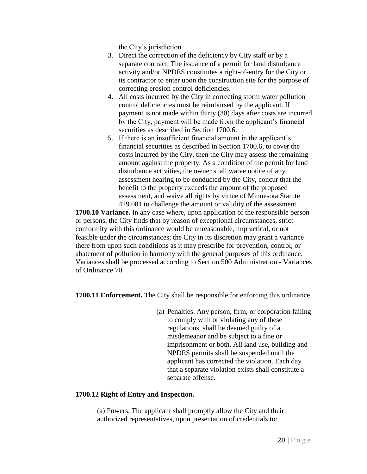the City's jurisdiction.

- 3. Direct the correction of the deficiency by City staff or by a separate contract. The issuance of a permit for land disturbance activity and/or NPDES constitutes a right-of-entry for the City or its contractor to enter upon the construction site for the purpose of correcting erosion control deficiencies.
- 4. All costs incurred by the City in correcting storm water pollution control deficiencies must be reimbursed by the applicant. If payment is not made within thirty (30) days after costs are incurred by the City, payment will be made from the applicant's financial securities as described in Section 1700.6.
- 5. If there is an insufficient financial amount in the applicant's financial securities as described in Section 1700.6, to cover the costs incurred by the City, then the City may assess the remaining amount against the property. As a condition of the permit for land disturbance activities, the owner shall waive notice of any assessment hearing to be conducted by the City, concur that the benefit to the property exceeds the amount of the proposed assessment, and waive all rights by virtue of Minnesota Statute 429.081 to challenge the amount or validity of the assessment.

**1700.10 Variance.** In any case where, upon application of the responsible person or persons, the City finds that by reason of exceptional circumstances, strict conformity with this ordinance would be unreasonable, impractical, or not feasible under the circumstances; the City in its discretion may grant a variance there from upon such conditions as it may prescribe for prevention, control, or abatement of pollution in harmony with the general purposes of this ordinance. Variances shall be processed according to Section 500 Administration - Variances of Ordinance 70.

**1700.11 Enforcement.** The City shall be responsible for enforcing this ordinance.

(a) Penalties. Any person, firm, or corporation failing to comply with or violating any of these regulations, shall be deemed guilty of a misdemeanor and be subject to a fine or imprisonment or both. All land use, building and NPDES permits shall be suspended until the applicant has corrected the violation. Each day that a separate violation exists shall constitute a separate offense.

# **1700.12 Right of Entry and Inspection.**

(a) Powers. The applicant shall promptly allow the City and their authorized representatives, upon presentation of credentials to: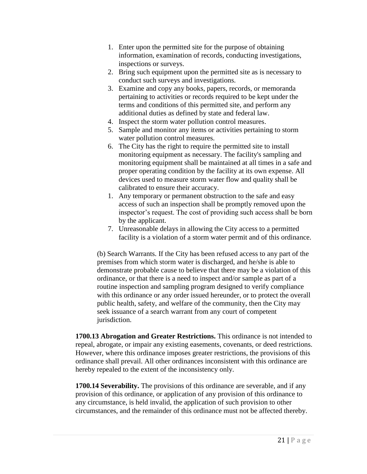- 1. Enter upon the permitted site for the purpose of obtaining information, examination of records, conducting investigations, inspections or surveys.
- 2. Bring such equipment upon the permitted site as is necessary to conduct such surveys and investigations.
- 3. Examine and copy any books, papers, records, or memoranda pertaining to activities or records required to be kept under the terms and conditions of this permitted site, and perform any additional duties as defined by state and federal law.
- 4. Inspect the storm water pollution control measures.
- 5. Sample and monitor any items or activities pertaining to storm water pollution control measures.
- 6. The City has the right to require the permitted site to install monitoring equipment as necessary. The facility's sampling and monitoring equipment shall be maintained at all times in a safe and proper operating condition by the facility at its own expense. All devices used to measure storm water flow and quality shall be calibrated to ensure their accuracy.
- 1. Any temporary or permanent obstruction to the safe and easy access of such an inspection shall be promptly removed upon the inspector's request. The cost of providing such access shall be born by the applicant.
- 7. Unreasonable delays in allowing the City access to a permitted facility is a violation of a storm water permit and of this ordinance.

(b) Search Warrants. If the City has been refused access to any part of the premises from which storm water is discharged, and he/she is able to demonstrate probable cause to believe that there may be a violation of this ordinance, or that there is a need to inspect and/or sample as part of a routine inspection and sampling program designed to verify compliance with this ordinance or any order issued hereunder, or to protect the overall public health, safety, and welfare of the community, then the City may seek issuance of a search warrant from any court of competent jurisdiction.

**1700.13 Abrogation and Greater Restrictions.** This ordinance is not intended to repeal, abrogate, or impair any existing easements, covenants, or deed restrictions. However, where this ordinance imposes greater restrictions, the provisions of this ordinance shall prevail. All other ordinances inconsistent with this ordinance are hereby repealed to the extent of the inconsistency only.

**1700.14 Severability.** The provisions of this ordinance are severable, and if any provision of this ordinance, or application of any provision of this ordinance to any circumstance, is held invalid, the application of such provision to other circumstances, and the remainder of this ordinance must not be affected thereby.